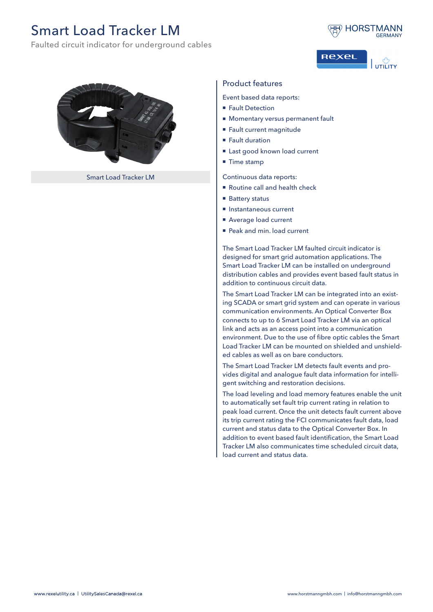## Smart Load Tracker LM

Faulted circuit indicator for underground cables







Smart Load Tracker LM

## Product features

Event based data reports:

- Fault Detection
- **Momentary versus permanent fault**
- Fault current magnitude
- Fault duration
- Last good known load current
- $\blacksquare$  Time stamp

Continuous data reports:

- Routine call and health check
- Battery status
- Instantaneous current
- Average load current
- Peak and min. load current

The Smart Load Tracker LM faulted circuit indicator is designed for smart grid automation applications. The Smart Load Tracker LM can be installed on underground distribution cables and provides event based fault status in addition to continuous circuit data.

The Smart Load Tracker LM can be integrated into an existing SCADA or smart grid system and can operate in various communication environments. An Optical Converter Box connects to up to 6 Smart Load Tracker LM via an optical link and acts as an access point into a communication environment. Due to the use of fibre optic cables the Smart Load Tracker LM can be mounted on shielded and unshielded cables as well as on bare conductors.

The Smart Load Tracker LM detects fault events and provides digital and analogue fault data information for intelligent switching and restoration decisions.

The load leveling and load memory features enable the unit to automatically set fault trip current rating in relation to peak load current. Once the unit detects fault current above its trip current rating the FCI communicates fault data, load current and status data to the Optical Converter Box. In addition to event based fault identification, the Smart Load Tracker LM also communicates time scheduled circuit data, load current and status data.